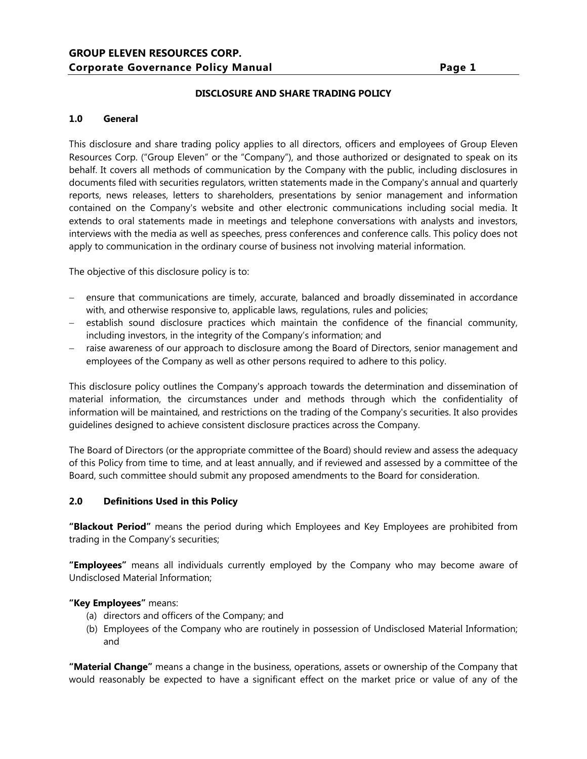#### **DISCLOSURE AND SHARE TRADING POLICY**

#### **1.0 General**

This disclosure and share trading policy applies to all directors, officers and employees of Group Eleven Resources Corp. ("Group Eleven" or the "Company"), and those authorized or designated to speak on its behalf. It covers all methods of communication by the Company with the public, including disclosures in documents filed with securities regulators, written statements made in the Company's annual and quarterly reports, news releases, letters to shareholders, presentations by senior management and information contained on the Company's website and other electronic communications including social media. It extends to oral statements made in meetings and telephone conversations with analysts and investors, interviews with the media as well as speeches, press conferences and conference calls. This policy does not apply to communication in the ordinary course of business not involving material information.

The objective of this disclosure policy is to:

- ensure that communications are timely, accurate, balanced and broadly disseminated in accordance with, and otherwise responsive to, applicable laws, regulations, rules and policies;
- establish sound disclosure practices which maintain the confidence of the financial community, including investors, in the integrity of the Company's information; and
- raise awareness of our approach to disclosure among the Board of Directors, senior management and employees of the Company as well as other persons required to adhere to this policy.

This disclosure policy outlines the Company's approach towards the determination and dissemination of material information, the circumstances under and methods through which the confidentiality of information will be maintained, and restrictions on the trading of the Company's securities. It also provides guidelines designed to achieve consistent disclosure practices across the Company.

The Board of Directors (or the appropriate committee of the Board) should review and assess the adequacy of this Policy from time to time, and at least annually, and if reviewed and assessed by a committee of the Board, such committee should submit any proposed amendments to the Board for consideration.

#### **2.0 Definitions Used in this Policy**

**"Blackout Period"** means the period during which Employees and Key Employees are prohibited from trading in the Company's securities;

**"Employees"** means all individuals currently employed by the Company who may become aware of Undisclosed Material Information;

#### **"Key Employees"** means:

- (a) directors and officers of the Company; and
- (b) Employees of the Company who are routinely in possession of Undisclosed Material Information; and

**"Material Change"** means a change in the business, operations, assets or ownership of the Company that would reasonably be expected to have a significant effect on the market price or value of any of the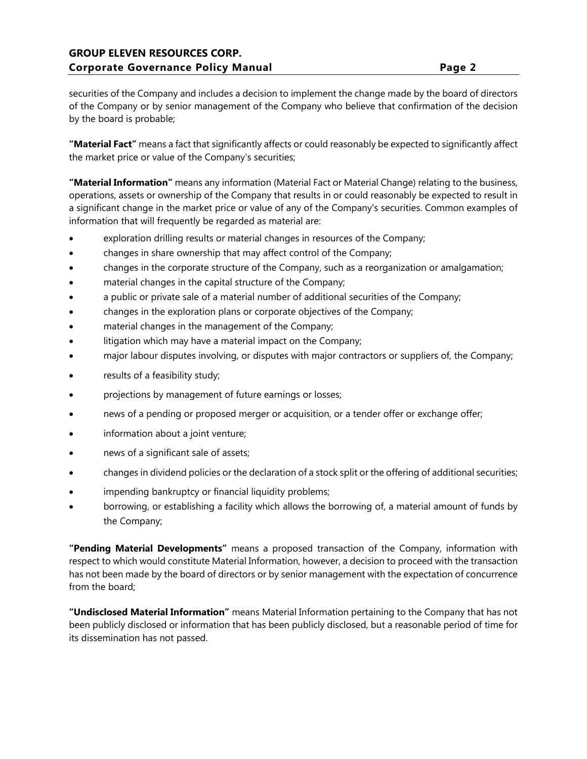# **GROUP ELEVEN RESOURCES CORP. Corporate Governance Policy Manual Page 2**

securities of the Company and includes a decision to implement the change made by the board of directors of the Company or by senior management of the Company who believe that confirmation of the decision by the board is probable;

**"Material Fact"** means a fact that significantly affects or could reasonably be expected to significantly affect the market price or value of the Company's securities;

**"Material Information"** means any information (Material Fact or Material Change) relating to the business, operations, assets or ownership of the Company that results in or could reasonably be expected to result in a significant change in the market price or value of any of the Company's securities. Common examples of information that will frequently be regarded as material are:

- exploration drilling results or material changes in resources of the Company;
- changes in share ownership that may affect control of the Company;
- changes in the corporate structure of the Company, such as a reorganization or amalgamation;
- material changes in the capital structure of the Company;
- a public or private sale of a material number of additional securities of the Company;
- changes in the exploration plans or corporate objectives of the Company;
- material changes in the management of the Company;
- litigation which may have a material impact on the Company;
- major labour disputes involving, or disputes with major contractors or suppliers of, the Company;
- results of a feasibility study;
- projections by management of future earnings or losses;
- news of a pending or proposed merger or acquisition, or a tender offer or exchange offer;
- information about a joint venture;
- news of a significant sale of assets;
- changes in dividend policies or the declaration of a stock split or the offering of additional securities;
- impending bankruptcy or financial liquidity problems;
- borrowing, or establishing a facility which allows the borrowing of, a material amount of funds by the Company;

**"Pending Material Developments"** means a proposed transaction of the Company, information with respect to which would constitute Material Information, however, a decision to proceed with the transaction has not been made by the board of directors or by senior management with the expectation of concurrence from the board;

**"Undisclosed Material Information"** means Material Information pertaining to the Company that has not been publicly disclosed or information that has been publicly disclosed, but a reasonable period of time for its dissemination has not passed.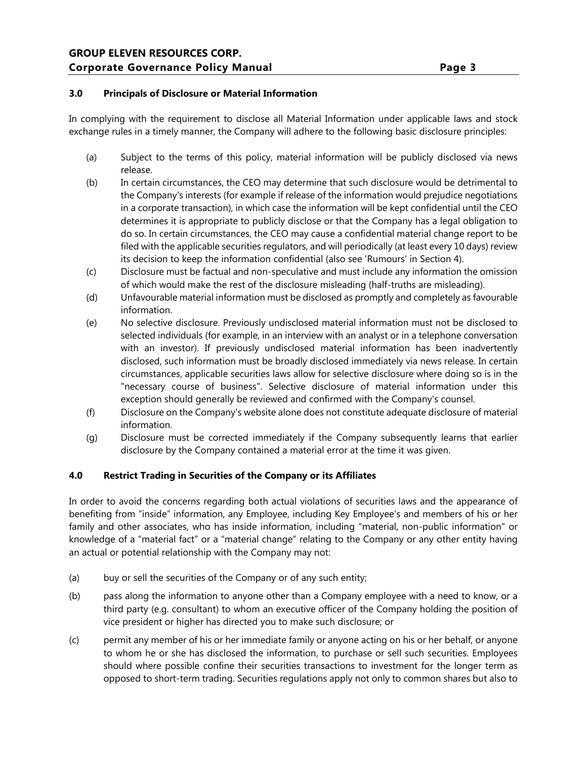## **3.0 Principals of Disclosure or Material Information**

In complying with the requirement to disclose all Material Information under applicable laws and stock exchange rules in a timely manner, the Company will adhere to the following basic disclosure principles:

- (a) Subject to the terms of this policy, material information will be publicly disclosed via news release.
- (b) In certain circumstances, the CEO may determine that such disclosure would be detrimental to the Company's interests (for example if release of the information would prejudice negotiations in a corporate transaction), in which case the information will be kept confidential until the CEO determines it is appropriate to publicly disclose or that the Company has a legal obligation to do so. In certain circumstances, the CEO may cause a confidential material change report to be filed with the applicable securities regulators, and will periodically (at least every 10 days) review its decision to keep the information confidential (also see 'Rumours' in Section 4).
- (c) Disclosure must be factual and non-speculative and must include any information the omission of which would make the rest of the disclosure misleading (half-truths are misleading).
- (d) Unfavourable material information must be disclosed as promptly and completely as favourable information.
- (e) No selective disclosure. Previously undisclosed material information must not be disclosed to selected individuals (for example, in an interview with an analyst or in a telephone conversation with an investor). If previously undisclosed material information has been inadvertently disclosed, such information must be broadly disclosed immediately via news release. In certain circumstances, applicable securities laws allow for selective disclosure where doing so is in the "necessary course of business". Selective disclosure of material information under this exception should generally be reviewed and confirmed with the Company's counsel.
- (f) Disclosure on the Company's website alone does not constitute adequate disclosure of material information.
- (g) Disclosure must be corrected immediately if the Company subsequently learns that earlier disclosure by the Company contained a material error at the time it was given.

## **4.0 Restrict Trading in Securities of the Company or its Affiliates**

In order to avoid the concerns regarding both actual violations of securities laws and the appearance of benefiting from "inside" information, any Employee, including Key Employee's and members of his or her family and other associates, who has inside information, including "material, non-public information" or knowledge of a "material fact" or a "material change" relating to the Company or any other entity having an actual or potential relationship with the Company may not:

- (a) buy or sell the securities of the Company or of any such entity;
- (b) pass along the information to anyone other than a Company employee with a need to know, or a third party (e.g. consultant) to whom an executive officer of the Company holding the position of vice president or higher has directed you to make such disclosure; or
- (c) permit any member of his or her immediate family or anyone acting on his or her behalf, or anyone to whom he or she has disclosed the information, to purchase or sell such securities. Employees should where possible confine their securities transactions to investment for the longer term as opposed to short-term trading. Securities regulations apply not only to common shares but also to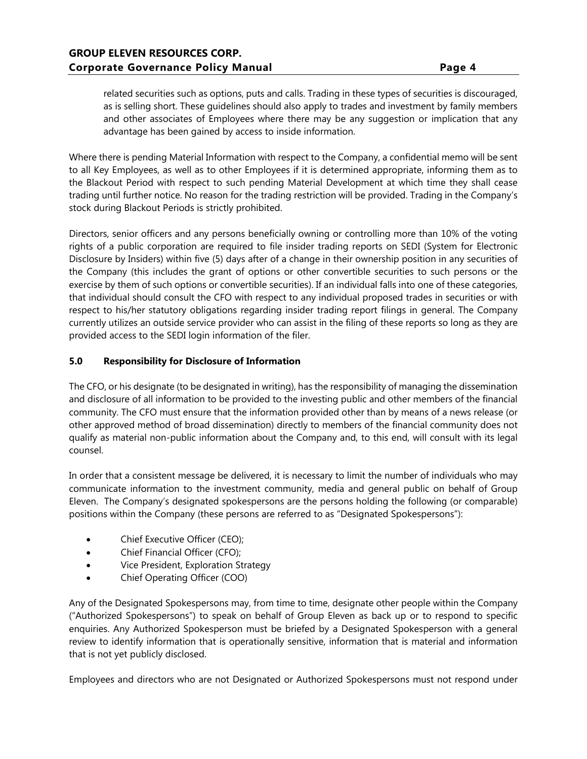related securities such as options, puts and calls. Trading in these types of securities is discouraged, as is selling short. These guidelines should also apply to trades and investment by family members and other associates of Employees where there may be any suggestion or implication that any advantage has been gained by access to inside information.

Where there is pending Material Information with respect to the Company, a confidential memo will be sent to all Key Employees, as well as to other Employees if it is determined appropriate, informing them as to the Blackout Period with respect to such pending Material Development at which time they shall cease trading until further notice. No reason for the trading restriction will be provided. Trading in the Company's stock during Blackout Periods is strictly prohibited.

Directors, senior officers and any persons beneficially owning or controlling more than 10% of the voting rights of a public corporation are required to file insider trading reports on SEDI (System for Electronic Disclosure by Insiders) within five (5) days after of a change in their ownership position in any securities of the Company (this includes the grant of options or other convertible securities to such persons or the exercise by them of such options or convertible securities). If an individual falls into one of these categories, that individual should consult the CFO with respect to any individual proposed trades in securities or with respect to his/her statutory obligations regarding insider trading report filings in general. The Company currently utilizes an outside service provider who can assist in the filing of these reports so long as they are provided access to the SEDI login information of the filer.

## **5.0 Responsibility for Disclosure of Information**

The CFO, or his designate (to be designated in writing), has the responsibility of managing the dissemination and disclosure of all information to be provided to the investing public and other members of the financial community. The CFO must ensure that the information provided other than by means of a news release (or other approved method of broad dissemination) directly to members of the financial community does not qualify as material non-public information about the Company and, to this end, will consult with its legal counsel.

In order that a consistent message be delivered, it is necessary to limit the number of individuals who may communicate information to the investment community, media and general public on behalf of Group Eleven. The Company's designated spokespersons are the persons holding the following (or comparable) positions within the Company (these persons are referred to as "Designated Spokespersons"):

- Chief Executive Officer (CEO);
- Chief Financial Officer (CFO);
- Vice President, Exploration Strategy
- Chief Operating Officer (COO)

Any of the Designated Spokespersons may, from time to time, designate other people within the Company ("Authorized Spokespersons") to speak on behalf of Group Eleven as back up or to respond to specific enquiries. Any Authorized Spokesperson must be briefed by a Designated Spokesperson with a general review to identify information that is operationally sensitive, information that is material and information that is not yet publicly disclosed.

Employees and directors who are not Designated or Authorized Spokespersons must not respond under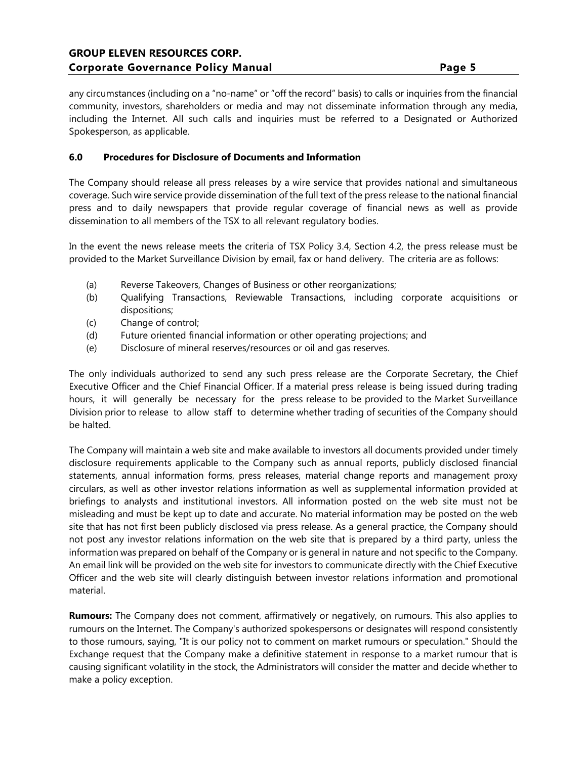any circumstances (including on a "no-name" or "off the record" basis) to calls or inquiries from the financial community, investors, shareholders or media and may not disseminate information through any media, including the Internet. All such calls and inquiries must be referred to a Designated or Authorized Spokesperson, as applicable.

#### **6.0 Procedures for Disclosure of Documents and Information**

The Company should release all press releases by a wire service that provides national and simultaneous coverage. Such wire service provide dissemination of the full text of the press release to the national financial press and to daily newspapers that provide regular coverage of financial news as well as provide dissemination to all members of the TSX to all relevant regulatory bodies.

In the event the news release meets the criteria of TSX Policy 3.4, Section 4.2, the press release must be provided to the Market Surveillance Division by email, fax or hand delivery. The criteria are as follows:

- (a) Reverse Takeovers, Changes of Business or other reorganizations;
- (b) Qualifying Transactions, Reviewable Transactions, including corporate acquisitions or dispositions;
- (c) Change of control;
- (d) Future oriented financial information or other operating projections; and
- (e) Disclosure of mineral reserves/resources or oil and gas reserves.

The only individuals authorized to send any such press release are the Corporate Secretary, the Chief Executive Officer and the Chief Financial Officer. If a material press release is being issued during trading hours, it will generally be necessary for the press release to be provided to the Market Surveillance Division prior to release to allow staff to determine whether trading of securities of the Company should be halted.

The Company will maintain a web site and make available to investors all documents provided under timely disclosure requirements applicable to the Company such as annual reports, publicly disclosed financial statements, annual information forms, press releases, material change reports and management proxy circulars, as well as other investor relations information as well as supplemental information provided at briefings to analysts and institutional investors. All information posted on the web site must not be misleading and must be kept up to date and accurate. No material information may be posted on the web site that has not first been publicly disclosed via press release. As a general practice, the Company should not post any investor relations information on the web site that is prepared by a third party, unless the information was prepared on behalf of the Company or is general in nature and not specific to the Company. An email link will be provided on the web site for investors to communicate directly with the Chief Executive Officer and the web site will clearly distinguish between investor relations information and promotional material.

**Rumours:** The Company does not comment, affirmatively or negatively, on rumours. This also applies to rumours on the Internet. The Company's authorized spokespersons or designates will respond consistently to those rumours, saying, "It is our policy not to comment on market rumours or speculation." Should the Exchange request that the Company make a definitive statement in response to a market rumour that is causing significant volatility in the stock, the Administrators will consider the matter and decide whether to make a policy exception.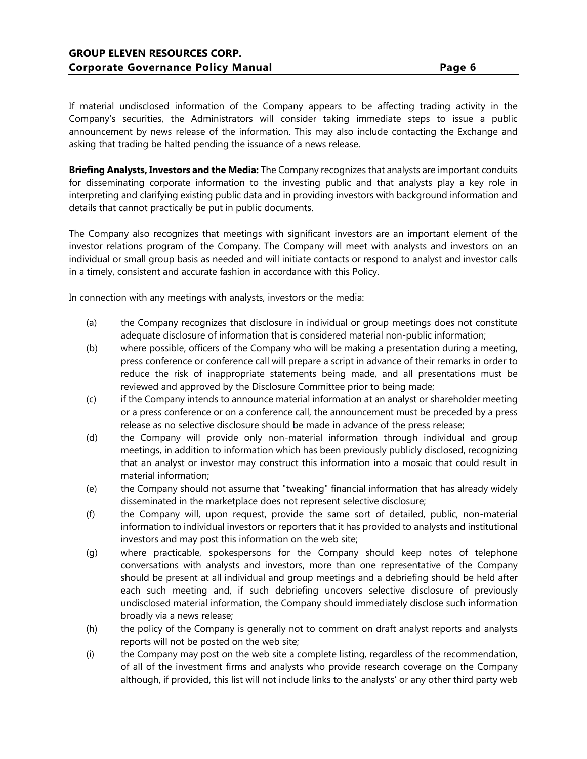If material undisclosed information of the Company appears to be affecting trading activity in the Company's securities, the Administrators will consider taking immediate steps to issue a public announcement by news release of the information. This may also include contacting the Exchange and asking that trading be halted pending the issuance of a news release.

**Briefing Analysts, Investors and the Media:** The Company recognizes that analysts are important conduits for disseminating corporate information to the investing public and that analysts play a key role in interpreting and clarifying existing public data and in providing investors with background information and details that cannot practically be put in public documents.

The Company also recognizes that meetings with significant investors are an important element of the investor relations program of the Company. The Company will meet with analysts and investors on an individual or small group basis as needed and will initiate contacts or respond to analyst and investor calls in a timely, consistent and accurate fashion in accordance with this Policy.

In connection with any meetings with analysts, investors or the media:

- (a) the Company recognizes that disclosure in individual or group meetings does not constitute adequate disclosure of information that is considered material non-public information;
- (b) where possible, officers of the Company who will be making a presentation during a meeting, press conference or conference call will prepare a script in advance of their remarks in order to reduce the risk of inappropriate statements being made, and all presentations must be reviewed and approved by the Disclosure Committee prior to being made;
- (c) if the Company intends to announce material information at an analyst or shareholder meeting or a press conference or on a conference call, the announcement must be preceded by a press release as no selective disclosure should be made in advance of the press release;
- (d) the Company will provide only non-material information through individual and group meetings, in addition to information which has been previously publicly disclosed, recognizing that an analyst or investor may construct this information into a mosaic that could result in material information;
- (e) the Company should not assume that "tweaking" financial information that has already widely disseminated in the marketplace does not represent selective disclosure;
- (f) the Company will, upon request, provide the same sort of detailed, public, non-material information to individual investors or reporters that it has provided to analysts and institutional investors and may post this information on the web site;
- (g) where practicable, spokespersons for the Company should keep notes of telephone conversations with analysts and investors, more than one representative of the Company should be present at all individual and group meetings and a debriefing should be held after each such meeting and, if such debriefing uncovers selective disclosure of previously undisclosed material information, the Company should immediately disclose such information broadly via a news release;
- (h) the policy of the Company is generally not to comment on draft analyst reports and analysts reports will not be posted on the web site;
- (i) the Company may post on the web site a complete listing, regardless of the recommendation, of all of the investment firms and analysts who provide research coverage on the Company although, if provided, this list will not include links to the analysts' or any other third party web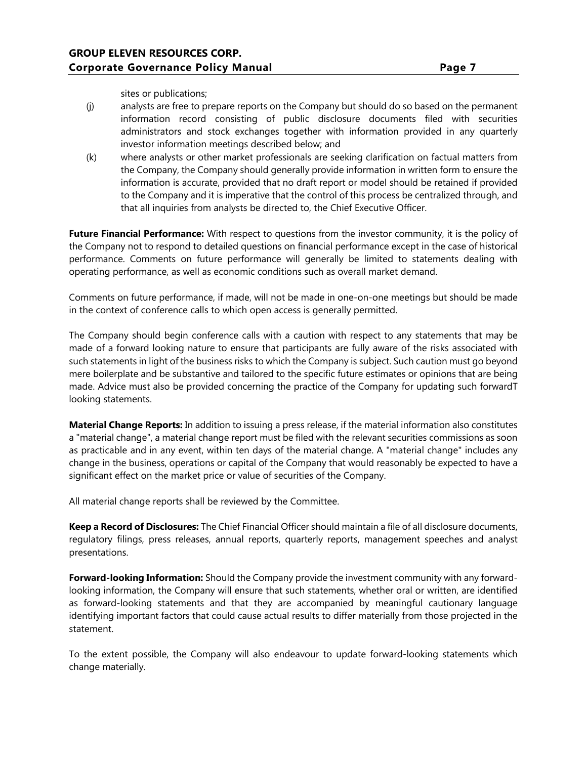sites or publications;

- (j) analysts are free to prepare reports on the Company but should do so based on the permanent information record consisting of public disclosure documents filed with securities administrators and stock exchanges together with information provided in any quarterly investor information meetings described below; and
- (k) where analysts or other market professionals are seeking clarification on factual matters from the Company, the Company should generally provide information in written form to ensure the information is accurate, provided that no draft report or model should be retained if provided to the Company and it is imperative that the control of this process be centralized through, and that all inquiries from analysts be directed to, the Chief Executive Officer.

**Future Financial Performance:** With respect to questions from the investor community, it is the policy of the Company not to respond to detailed questions on financial performance except in the case of historical performance. Comments on future performance will generally be limited to statements dealing with operating performance, as well as economic conditions such as overall market demand.

Comments on future performance, if made, will not be made in one-on-one meetings but should be made in the context of conference calls to which open access is generally permitted.

The Company should begin conference calls with a caution with respect to any statements that may be made of a forward looking nature to ensure that participants are fully aware of the risks associated with such statements in light of the business risks to which the Company is subject. Such caution must go beyond mere boilerplate and be substantive and tailored to the specific future estimates or opinions that are being made. Advice must also be provided concerning the practice of the Company for updating such forwardT looking statements.

**Material Change Reports:** In addition to issuing a press release, if the material information also constitutes a "material change", a material change report must be filed with the relevant securities commissions as soon as practicable and in any event, within ten days of the material change. A "material change" includes any change in the business, operations or capital of the Company that would reasonably be expected to have a significant effect on the market price or value of securities of the Company.

All material change reports shall be reviewed by the Committee.

**Keep a Record of Disclosures:** The Chief Financial Officer should maintain a file of all disclosure documents, regulatory filings, press releases, annual reports, quarterly reports, management speeches and analyst presentations.

**Forward-looking Information:** Should the Company provide the investment community with any forwardlooking information, the Company will ensure that such statements, whether oral or written, are identified as forward-looking statements and that they are accompanied by meaningful cautionary language identifying important factors that could cause actual results to differ materially from those projected in the statement.

To the extent possible, the Company will also endeavour to update forward-looking statements which change materially.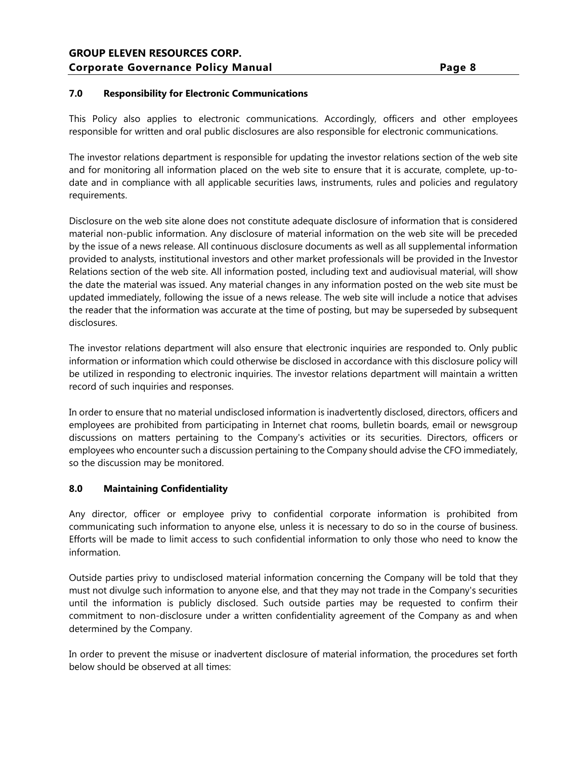## **7.0 Responsibility for Electronic Communications**

This Policy also applies to electronic communications. Accordingly, officers and other employees responsible for written and oral public disclosures are also responsible for electronic communications.

The investor relations department is responsible for updating the investor relations section of the web site and for monitoring all information placed on the web site to ensure that it is accurate, complete, up-todate and in compliance with all applicable securities laws, instruments, rules and policies and regulatory requirements.

Disclosure on the web site alone does not constitute adequate disclosure of information that is considered material non-public information. Any disclosure of material information on the web site will be preceded by the issue of a news release. All continuous disclosure documents as well as all supplemental information provided to analysts, institutional investors and other market professionals will be provided in the Investor Relations section of the web site. All information posted, including text and audiovisual material, will show the date the material was issued. Any material changes in any information posted on the web site must be updated immediately, following the issue of a news release. The web site will include a notice that advises the reader that the information was accurate at the time of posting, but may be superseded by subsequent disclosures.

The investor relations department will also ensure that electronic inquiries are responded to. Only public information or information which could otherwise be disclosed in accordance with this disclosure policy will be utilized in responding to electronic inquiries. The investor relations department will maintain a written record of such inquiries and responses.

In order to ensure that no material undisclosed information is inadvertently disclosed, directors, officers and employees are prohibited from participating in Internet chat rooms, bulletin boards, email or newsgroup discussions on matters pertaining to the Company's activities or its securities. Directors, officers or employees who encounter such a discussion pertaining to the Company should advise the CFO immediately, so the discussion may be monitored.

## **8.0 Maintaining Confidentiality**

Any director, officer or employee privy to confidential corporate information is prohibited from communicating such information to anyone else, unless it is necessary to do so in the course of business. Efforts will be made to limit access to such confidential information to only those who need to know the information.

Outside parties privy to undisclosed material information concerning the Company will be told that they must not divulge such information to anyone else, and that they may not trade in the Company's securities until the information is publicly disclosed. Such outside parties may be requested to confirm their commitment to non-disclosure under a written confidentiality agreement of the Company as and when determined by the Company.

In order to prevent the misuse or inadvertent disclosure of material information, the procedures set forth below should be observed at all times: